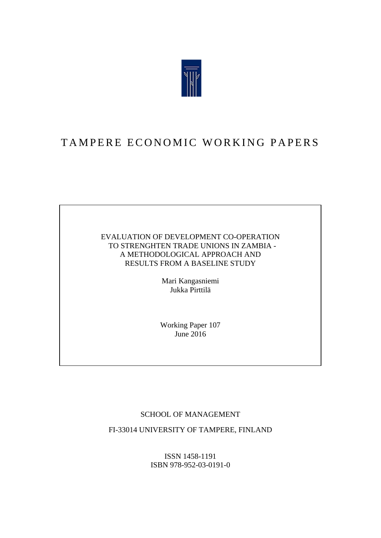

# TAMPERE ECONOMIC WORKING PAPERS

### EVALUATION OF DEVELOPMENT CO-OPERATION TO STRENGHTEN TRADE UNIONS IN ZAMBIA - A METHODOLOGICAL APPROACH AND RESULTS FROM A BASELINE STUDY

Mari Kangasniemi Jukka Pirttilä

Working Paper 107 June 2016

## SCHOOL OF MANAGEMENT

FI-33014 UNIVERSITY OF TAMPERE, FINLAND

ISSN 1458-1191 ISBN 978-952-03-0191-0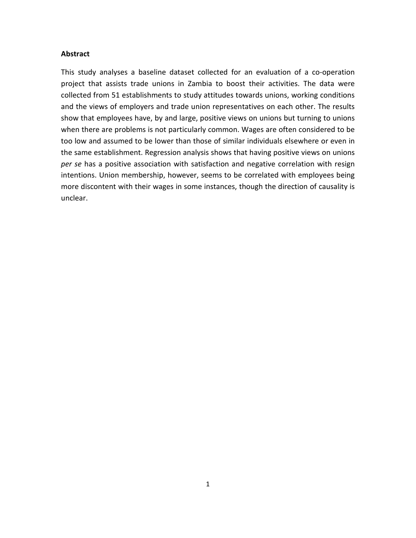#### **Abstract**

This study analyses a baseline dataset collected for an evaluation of a co-operation project that assists trade unions in Zambia to boost their activities. The data were collected from 51 establishments to study attitudes towards unions, working conditions and the views of employers and trade union representatives on each other. The results show that employees have, by and large, positive views on unions but turning to unions when there are problems is not particularly common. Wages are often considered to be too low and assumed to be lower than those of similar individuals elsewhere or even in the same establishment. Regression analysis shows that having positive views on unions *per se* has a positive association with satisfaction and negative correlation with resign intentions. Union membership, however, seems to be correlated with employees being more discontent with their wages in some instances, though the direction of causality is unclear.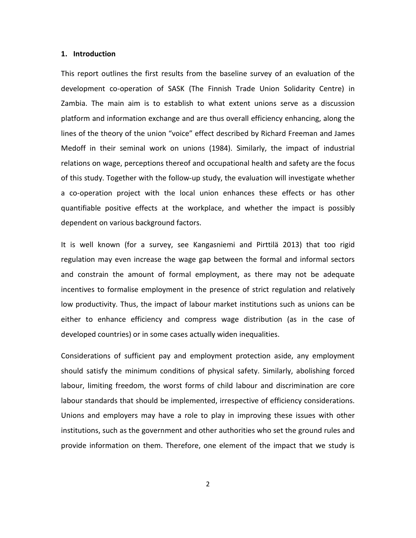#### **1. Introduction**

This report outlines the first results from the baseline survey of an evaluation of the development co-operation of SASK (The Finnish Trade Union Solidarity Centre) in Zambia. The main aim is to establish to what extent unions serve as a discussion platform and information exchange and are thus overall efficiency enhancing, along the lines of the theory of the union "voice" effect described by Richard Freeman and James Medoff in their seminal work on unions (1984). Similarly, the impact of industrial relations on wage, perceptions thereof and occupational health and safety are the focus of this study. Together with the follow-up study, the evaluation will investigate whether a co-operation project with the local union enhances these effects or has other quantifiable positive effects at the workplace, and whether the impact is possibly dependent on various background factors.

It is well known (for a survey, see Kangasniemi and Pirttilä 2013) that too rigid regulation may even increase the wage gap between the formal and informal sectors and constrain the amount of formal employment, as there may not be adequate incentives to formalise employment in the presence of strict regulation and relatively low productivity. Thus, the impact of labour market institutions such as unions can be either to enhance efficiency and compress wage distribution (as in the case of developed countries) or in some cases actually widen inequalities.

Considerations of sufficient pay and employment protection aside, any employment should satisfy the minimum conditions of physical safety. Similarly, abolishing forced labour, limiting freedom, the worst forms of child labour and discrimination are core labour standards that should be implemented, irrespective of efficiency considerations. Unions and employers may have a role to play in improving these issues with other institutions, such as the government and other authorities who set the ground rules and provide information on them. Therefore, one element of the impact that we study is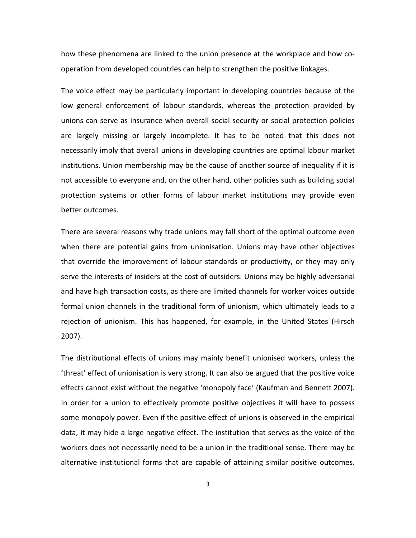how these phenomena are linked to the union presence at the workplace and how cooperation from developed countries can help to strengthen the positive linkages.

The voice effect may be particularly important in developing countries because of the low general enforcement of labour standards, whereas the protection provided by unions can serve as insurance when overall social security or social protection policies are largely missing or largely incomplete. It has to be noted that this does not necessarily imply that overall unions in developing countries are optimal labour market institutions. Union membership may be the cause of another source of inequality if it is not accessible to everyone and, on the other hand, other policies such as building social protection systems or other forms of labour market institutions may provide even better outcomes.

There are several reasons why trade unions may fall short of the optimal outcome even when there are potential gains from unionisation. Unions may have other objectives that override the improvement of labour standards or productivity, or they may only serve the interests of insiders at the cost of outsiders. Unions may be highly adversarial and have high transaction costs, as there are limited channels for worker voices outside formal union channels in the traditional form of unionism, which ultimately leads to a rejection of unionism. This has happened, for example, in the United States (Hirsch 2007).

The distributional effects of unions may mainly benefit unionised workers, unless the 'threat' effect of unionisation is very strong. It can also be argued that the positive voice effects cannot exist without the negative 'monopoly face' (Kaufman and Bennett 2007). In order for a union to effectively promote positive objectives it will have to possess some monopoly power. Even if the positive effect of unions is observed in the empirical data, it may hide a large negative effect. The institution that serves as the voice of the workers does not necessarily need to be a union in the traditional sense. There may be alternative institutional forms that are capable of attaining similar positive outcomes.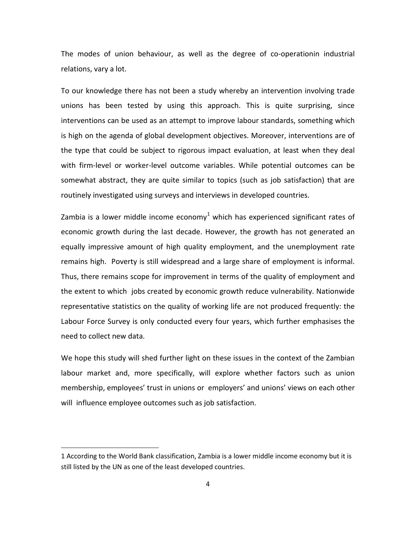The modes of union behaviour, as well as the degree of co-operationin industrial relations, vary a lot.

To our knowledge there has not been a study whereby an intervention involving trade unions has been tested by using this approach. This is quite surprising, since interventions can be used as an attempt to improve labour standards, something which is high on the agenda of global development objectives. Moreover, interventions are of the type that could be subject to rigorous impact evaluation, at least when they deal with firm-level or worker-level outcome variables. While potential outcomes can be somewhat abstract, they are quite similar to topics (such as job satisfaction) that are routinely investigated using surveys and interviews in developed countries.

Zambia is a lower middle income economy<sup>[1](#page-4-0)</sup> which has experienced significant rates of economic growth during the last decade. However, the growth has not generated an equally impressive amount of high quality employment, and the unemployment rate remains high. Poverty is still widespread and a large share of employment is informal. Thus, there remains scope for improvement in terms of the quality of employment and the extent to which jobs created by economic growth reduce vulnerability. Nationwide representative statistics on the quality of working life are not produced frequently: the Labour Force Survey is only conducted every four years, which further emphasises the need to collect new data.

We hope this study will shed further light on these issues in the context of the Zambian labour market and, more specifically, will explore whether factors such as union membership, employees' trust in unions or employers' and unions' views on each other will influence employee outcomes such as job satisfaction.

 $\overline{a}$ 

<span id="page-4-0"></span><sup>1</sup> According to the World Bank classification, Zambia is a lower middle income economy but it is still listed by the UN as one of the least developed countries.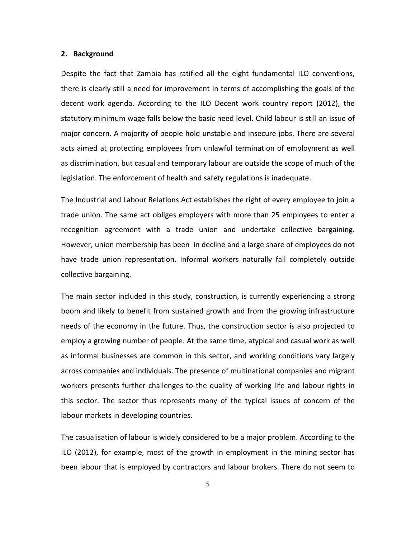#### **2. Background**

Despite the fact that Zambia has ratified all the eight fundamental ILO conventions, there is clearly still a need for improvement in terms of accomplishing the goals of the decent work agenda. According to the ILO Decent work country report (2012), the statutory minimum wage falls below the basic need level. Child labour is still an issue of major concern. A majority of people hold unstable and insecure jobs. There are several acts aimed at protecting employees from unlawful termination of employment as well as discrimination, but casual and temporary labour are outside the scope of much of the legislation. The enforcement of health and safety regulations is inadequate.

The Industrial and Labour Relations Act establishes the right of every employee to join a trade union. The same act obliges employers with more than 25 employees to enter a recognition agreement with a trade union and undertake collective bargaining. However, union membership has been in decline and a large share of employees do not have trade union representation. Informal workers naturally fall completely outside collective bargaining.

The main sector included in this study, construction, is currently experiencing a strong boom and likely to benefit from sustained growth and from the growing infrastructure needs of the economy in the future. Thus, the construction sector is also projected to employ a growing number of people. At the same time, atypical and casual work as well as informal businesses are common in this sector, and working conditions vary largely across companies and individuals. The presence of multinational companies and migrant workers presents further challenges to the quality of working life and labour rights in this sector. The sector thus represents many of the typical issues of concern of the labour markets in developing countries.

The casualisation of labour is widely considered to be a major problem. According to the ILO (2012), for example, most of the growth in employment in the mining sector has been labour that is employed by contractors and labour brokers. There do not seem to

5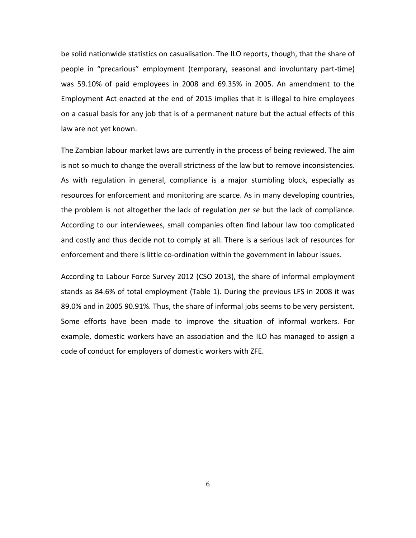be solid nationwide statistics on casualisation. The ILO reports, though, that the share of people in "precarious" employment (temporary, seasonal and involuntary part-time) was 59.10% of paid employees in 2008 and 69.35% in 2005. An amendment to the Employment Act enacted at the end of 2015 implies that it is illegal to hire employees on a casual basis for any job that is of a permanent nature but the actual effects of this law are not yet known.

The Zambian labour market laws are currently in the process of being reviewed. The aim is not so much to change the overall strictness of the law but to remove inconsistencies. As with regulation in general, compliance is a major stumbling block, especially as resources for enforcement and monitoring are scarce. As in many developing countries, the problem is not altogether the lack of regulation *per se* but the lack of compliance. According to our interviewees, small companies often find labour law too complicated and costly and thus decide not to comply at all. There is a serious lack of resources for enforcement and there is little co-ordination within the government in labour issues.

According to Labour Force Survey 2012 (CSO 2013), the share of informal employment stands as 84.6% of total employment (Table 1). During the previous LFS in 2008 it was 89.0% and in 2005 90.91%. Thus, the share of informal jobs seems to be very persistent. Some efforts have been made to improve the situation of informal workers. For example, domestic workers have an association and the ILO has managed to assign a code of conduct for employers of domestic workers with ZFE.

6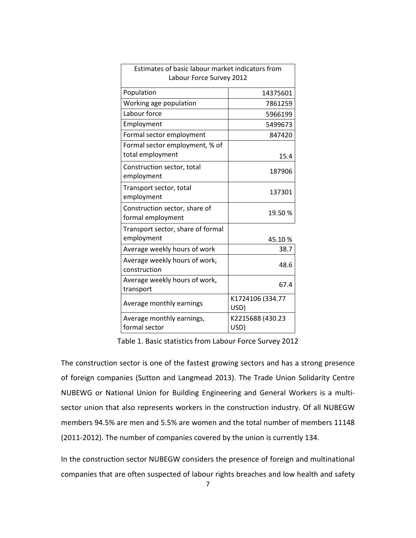| Estimates of basic labour market indicators from   |                          |  |  |  |
|----------------------------------------------------|--------------------------|--|--|--|
| Labour Force Survey 2012                           |                          |  |  |  |
| Population                                         | 14375601                 |  |  |  |
| Working age population                             | 7861259                  |  |  |  |
| Labour force                                       | 5966199                  |  |  |  |
| Employment                                         | 5499673                  |  |  |  |
| Formal sector employment                           | 847420                   |  |  |  |
| Formal sector employment, % of                     |                          |  |  |  |
| total employment                                   | 15.4                     |  |  |  |
| Construction sector, total<br>employment           | 187906                   |  |  |  |
| Transport sector, total<br>employment              | 137301                   |  |  |  |
| Construction sector, share of<br>formal employment | 19.50%                   |  |  |  |
| Transport sector, share of formal<br>employment    | 45.10%                   |  |  |  |
| Average weekly hours of work                       | 38.7                     |  |  |  |
| Average weekly hours of work,<br>construction      | 48.6                     |  |  |  |
| Average weekly hours of work,<br>transport         | 67.4                     |  |  |  |
| Average monthly earnings                           | K1724106 (334.77<br>USD) |  |  |  |
| Average monthly earnings,                          | K2215688 (430.23         |  |  |  |
| formal sector                                      | USD)                     |  |  |  |

Table 1. Basic statistics from Labour Force Survey 2012

The construction sector is one of the fastest growing sectors and has a strong presence of foreign companies (Sutton and Langmead 2013). The Trade Union Solidarity Centre NUBEWG or National Union for Building Engineering and General Workers is a multisector union that also represents workers in the construction industry. Of all NUBEGW members 94.5% are men and 5.5% are women and the total number of members 11148 (2011-2012). The number of companies covered by the union is currently 134.

In the construction sector NUBEGW considers the presence of foreign and multinational companies that are often suspected of labour rights breaches and low health and safety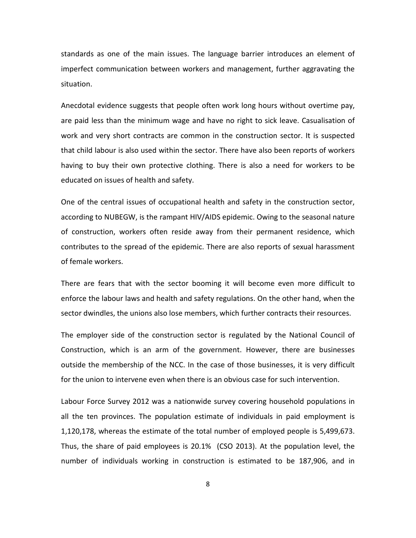standards as one of the main issues. The language barrier introduces an element of imperfect communication between workers and management, further aggravating the situation.

Anecdotal evidence suggests that people often work long hours without overtime pay, are paid less than the minimum wage and have no right to sick leave. Casualisation of work and very short contracts are common in the construction sector. It is suspected that child labour is also used within the sector. There have also been reports of workers having to buy their own protective clothing. There is also a need for workers to be educated on issues of health and safety.

One of the central issues of occupational health and safety in the construction sector, according to NUBEGW, is the rampant HIV/AIDS epidemic. Owing to the seasonal nature of construction, workers often reside away from their permanent residence, which contributes to the spread of the epidemic. There are also reports of sexual harassment of female workers.

There are fears that with the sector booming it will become even more difficult to enforce the labour laws and health and safety regulations. On the other hand, when the sector dwindles, the unions also lose members, which further contracts their resources.

The employer side of the construction sector is regulated by the National Council of Construction, which is an arm of the government. However, there are businesses outside the membership of the NCC. In the case of those businesses, it is very difficult for the union to intervene even when there is an obvious case for such intervention.

Labour Force Survey 2012 was a nationwide survey covering household populations in all the ten provinces. The population estimate of individuals in paid employment is 1,120,178, whereas the estimate of the total number of employed people is 5,499,673. Thus, the share of paid employees is 20.1% (CSO 2013). At the population level, the number of individuals working in construction is estimated to be 187,906, and in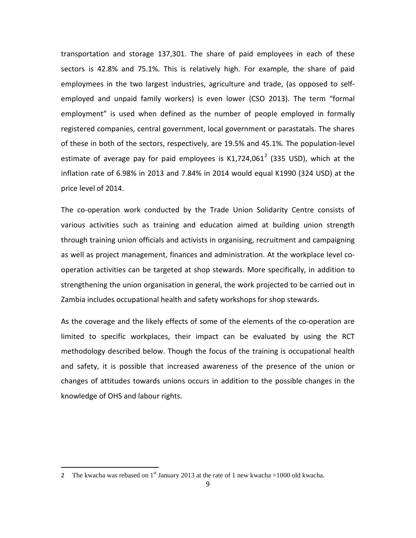transportation and storage 137,301. The share of paid employees in each of these sectors is 42.8% and 75.1%. This is relatively high. For example, the share of paid employmees in the two largest industries, agriculture and trade, (as opposed to selfemployed and unpaid family workers) is even lower (CSO 2013). The term "formal employment" is used when defined as the number of people employed in formally registered companies, central government, local government or parastatals. The shares of these in both of the sectors, respectively, are 19.5% and 45.1%. The population-level estimate of average pay for paid employees is  $K1,724,061^2$  $K1,724,061^2$  $K1,724,061^2$  (335 USD), which at the inflation rate of 6.98% in 2013 and 7.84% in 2014 would equal K1990 (324 USD) at the price level of 2014.

The co-operation work conducted by the Trade Union Solidarity Centre consists of various activities such as training and education aimed at building union strength through training union officials and activists in organising, recruitment and campaigning as well as project management, finances and administration. At the workplace level cooperation activities can be targeted at shop stewards. More specifically, in addition to strengthening the union organisation in general, the work projected to be carried out in Zambia includes occupational health and safety workshops for shop stewards.

As the coverage and the likely effects of some of the elements of the co-operation are limited to specific workplaces, their impact can be evaluated by using the RCT methodology described below. Though the focus of the training is occupational health and safety, it is possible that increased awareness of the presence of the union or changes of attitudes towards unions occurs in addition to the possible changes in the knowledge of OHS and labour rights.

 $\overline{a}$ 

<span id="page-9-0"></span><sup>2</sup> The kwacha was rebased on 1<sup>st</sup> January 2013 at the rate of 1 new kwacha =1000 old kwacha.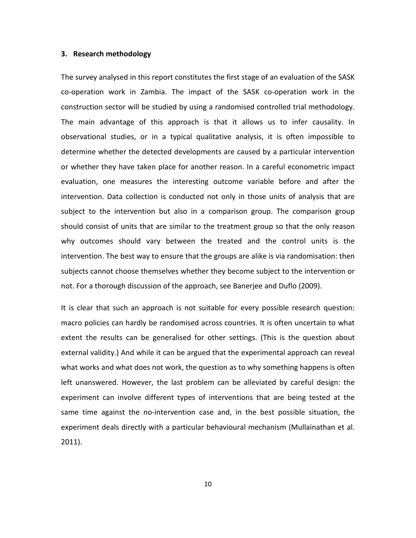#### **3. Research methodology**

The survey analysed in this report constitutes the first stage of an evaluation of the SASK co-operation work in Zambia. The impact of the SASK co-operation work in the construction sector will be studied by using a randomised controlled trial methodology. The main advantage of this approach is that it allows us to infer causality. In observational studies, or in a typical qualitative analysis, it is often impossible to determine whether the detected developments are caused by a particular intervention or whether they have taken place for another reason. In a careful econometric impact evaluation, one measures the interesting outcome variable before and after the intervention. Data collection is conducted not only in those units of analysis that are subject to the intervention but also in a comparison group. The comparison group should consist of units that are similar to the treatment group so that the only reason why outcomes should vary between the treated and the control units is the intervention. The best way to ensure that the groups are alike is via randomisation: then subjects cannot choose themselves whether they become subject to the intervention or not. For a thorough discussion of the approach, see Banerjee and Duflo (2009).

It is clear that such an approach is not suitable for every possible research question: macro policies can hardly be randomised across countries. It is often uncertain to what extent the results can be generalised for other settings. (This is the question about external validity.) And while it can be argued that the experimental approach can reveal what works and what does not work, the question as to why something happens is often left unanswered. However, the last problem can be alleviated by careful design: the experiment can involve different types of interventions that are being tested at the same time against the no-intervention case and, in the best possible situation, the experiment deals directly with a particular behavioural mechanism (Mullainathan et al. 2011).

10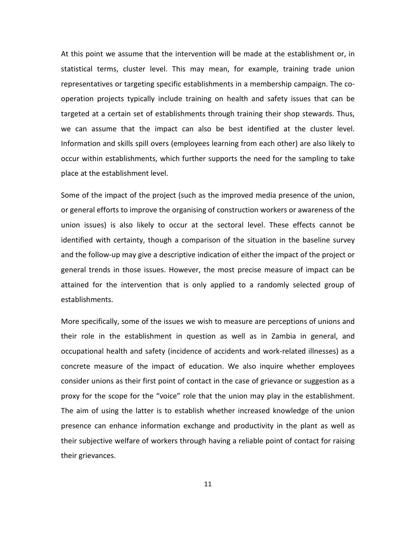At this point we assume that the intervention will be made at the establishment or, in statistical terms, cluster level. This may mean, for example, training trade union representatives or targeting specific establishments in a membership campaign. The cooperation projects typically include training on health and safety issues that can be targeted at a certain set of establishments through training their shop stewards. Thus, we can assume that the impact can also be best identified at the cluster level. Information and skills spill overs (employees learning from each other) are also likely to occur within establishments, which further supports the need for the sampling to take place at the establishment level.

Some of the impact of the project (such as the improved media presence of the union, or general efforts to improve the organising of construction workers or awareness of the union issues) is also likely to occur at the sectoral level. These effects cannot be identified with certainty, though a comparison of the situation in the baseline survey and the follow-up may give a descriptive indication of either the impact of the project or general trends in those issues. However, the most precise measure of impact can be attained for the intervention that is only applied to a randomly selected group of establishments.

More specifically, some of the issues we wish to measure are perceptions of unions and their role in the establishment in question as well as in Zambia in general, and occupational health and safety (incidence of accidents and work-related illnesses) as a concrete measure of the impact of education. We also inquire whether employees consider unions as their first point of contact in the case of grievance or suggestion as a proxy for the scope for the "voice" role that the union may play in the establishment. The aim of using the latter is to establish whether increased knowledge of the union presence can enhance information exchange and productivity in the plant as well as their subjective welfare of workers through having a reliable point of contact for raising their grievances.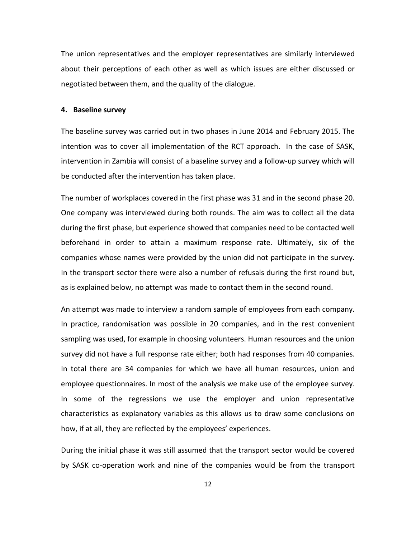The union representatives and the employer representatives are similarly interviewed about their perceptions of each other as well as which issues are either discussed or negotiated between them, and the quality of the dialogue.

#### **4. Baseline survey**

The baseline survey was carried out in two phases in June 2014 and February 2015. The intention was to cover all implementation of the RCT approach. In the case of SASK, intervention in Zambia will consist of a baseline survey and a follow-up survey which will be conducted after the intervention has taken place.

The number of workplaces covered in the first phase was 31 and in the second phase 20. One company was interviewed during both rounds. The aim was to collect all the data during the first phase, but experience showed that companies need to be contacted well beforehand in order to attain a maximum response rate. Ultimately, six of the companies whose names were provided by the union did not participate in the survey. In the transport sector there were also a number of refusals during the first round but, as is explained below, no attempt was made to contact them in the second round.

An attempt was made to interview a random sample of employees from each company. In practice, randomisation was possible in 20 companies, and in the rest convenient sampling was used, for example in choosing volunteers. Human resources and the union survey did not have a full response rate either; both had responses from 40 companies. In total there are 34 companies for which we have all human resources, union and employee questionnaires. In most of the analysis we make use of the employee survey. In some of the regressions we use the employer and union representative characteristics as explanatory variables as this allows us to draw some conclusions on how, if at all, they are reflected by the employees' experiences.

During the initial phase it was still assumed that the transport sector would be covered by SASK co-operation work and nine of the companies would be from the transport

12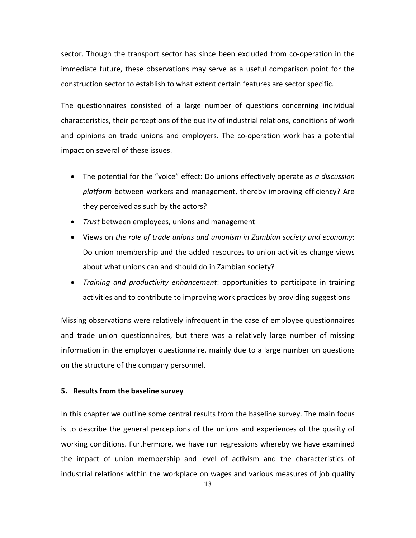sector. Though the transport sector has since been excluded from co-operation in the immediate future, these observations may serve as a useful comparison point for the construction sector to establish to what extent certain features are sector specific.

The questionnaires consisted of a large number of questions concerning individual characteristics, their perceptions of the quality of industrial relations, conditions of work and opinions on trade unions and employers. The co-operation work has a potential impact on several of these issues.

- The potential for the "voice" effect: Do unions effectively operate as *a discussion platform* between workers and management, thereby improving efficiency? Are they perceived as such by the actors?
- *Trust* between employees, unions and management
- Views on *the role of trade unions and unionism in Zambian society and economy*: Do union membership and the added resources to union activities change views about what unions can and should do in Zambian society?
- *Training and productivity enhancement*: opportunities to participate in training activities and to contribute to improving work practices by providing suggestions

Missing observations were relatively infrequent in the case of employee questionnaires and trade union questionnaires, but there was a relatively large number of missing information in the employer questionnaire, mainly due to a large number on questions on the structure of the company personnel.

#### **5. Results from the baseline survey**

In this chapter we outline some central results from the baseline survey. The main focus is to describe the general perceptions of the unions and experiences of the quality of working conditions. Furthermore, we have run regressions whereby we have examined the impact of union membership and level of activism and the characteristics of industrial relations within the workplace on wages and various measures of job quality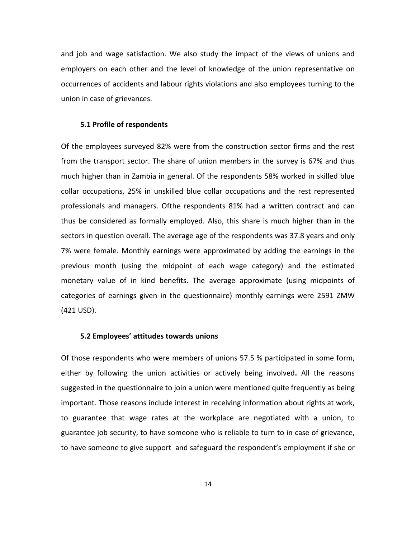and job and wage satisfaction. We also study the impact of the views of unions and employers on each other and the level of knowledge of the union representative on occurrences of accidents and labour rights violations and also employees turning to the union in case of grievances.

#### **5.1 Profile of respondents**

Of the employees surveyed 82% were from the construction sector firms and the rest from the transport sector. The share of union members in the survey is 67% and thus much higher than in Zambia in general. Of the respondents 58% worked in skilled blue collar occupations, 25% in unskilled blue collar occupations and the rest represented professionals and managers. Ofthe respondents 81% had a written contract and can thus be considered as formally employed. Also, this share is much higher than in the sectors in question overall. The average age of the respondents was 37.8 years and only 7% were female. Monthly earnings were approximated by adding the earnings in the previous month (using the midpoint of each wage category) and the estimated monetary value of in kind benefits. The average approximate (using midpoints of categories of earnings given in the questionnaire) monthly earnings were 2591 ZMW (421 USD).

#### **5.2 Employees' attitudes towards unions**

Of those respondents who were members of unions 57.5 % participated in some form, either by following the union activities or actively being involved**.** All the reasons suggested in the questionnaire to join a union were mentioned quite frequently as being important. Those reasons include interest in receiving information about rights at work, to guarantee that wage rates at the workplace are negotiated with a union, to guarantee job security, to have someone who is reliable to turn to in case of grievance, to have someone to give support and safeguard the respondent's employment if she or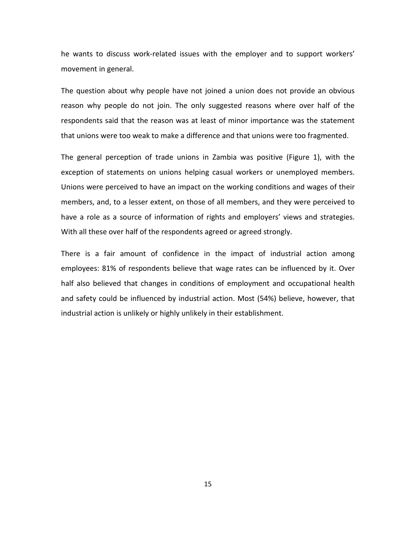he wants to discuss work-related issues with the employer and to support workers' movement in general.

The question about why people have not joined a union does not provide an obvious reason why people do not join. The only suggested reasons where over half of the respondents said that the reason was at least of minor importance was the statement that unions were too weak to make a difference and that unions were too fragmented.

The general perception of trade unions in Zambia was positive (Figure 1), with the exception of statements on unions helping casual workers or unemployed members. Unions were perceived to have an impact on the working conditions and wages of their members, and, to a lesser extent, on those of all members, and they were perceived to have a role as a source of information of rights and employers' views and strategies. With all these over half of the respondents agreed or agreed strongly.

There is a fair amount of confidence in the impact of industrial action among employees: 81% of respondents believe that wage rates can be influenced by it. Over half also believed that changes in conditions of employment and occupational health and safety could be influenced by industrial action. Most (54%) believe, however, that industrial action is unlikely or highly unlikely in their establishment.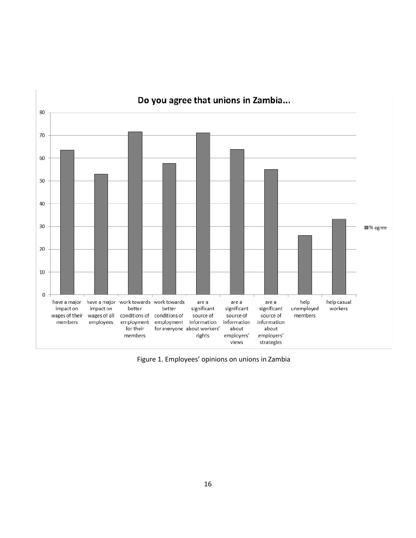

Figure 1. Employees' opinions on unions in Zambia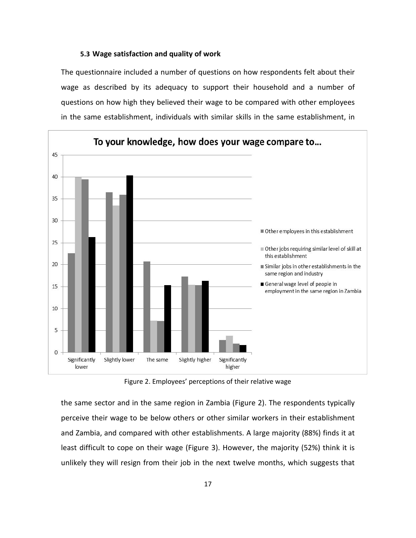#### **5.3 Wage satisfaction and quality of work**

The questionnaire included a number of questions on how respondents felt about their wage as described by its adequacy to support their household and a number of questions on how high they believed their wage to be compared with other employees in the same establishment, individuals with similar skills in the same establishment, in



Figure 2. Employees' perceptions of their relative wage

the same sector and in the same region in Zambia (Figure 2). The respondents typically perceive their wage to be below others or other similar workers in their establishment and Zambia, and compared with other establishments. A large majority (88%) finds it at least difficult to cope on their wage (Figure 3). However, the majority (52%) think it is unlikely they will resign from their job in the next twelve months, which suggests that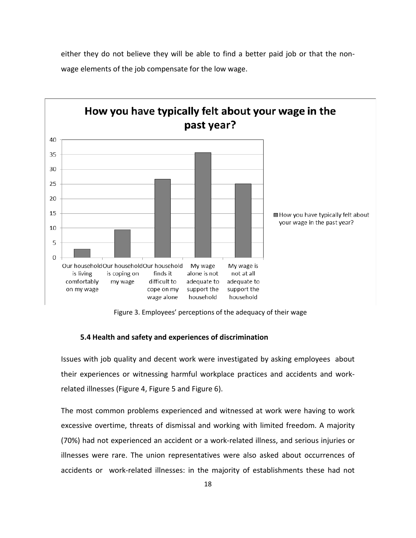

either they do not believe they will be able to find a better paid job or that the nonwage elements of the job compensate for the low wage.

Figure 3. Employees' perceptions of the adequacy of their wage

#### **5.4 Health and safety and experiences of discrimination**

Issues with job quality and decent work were investigated by asking employees about their experiences or witnessing harmful workplace practices and accidents and workrelated illnesses (Figure 4, Figure 5 and Figure 6).

The most common problems experienced and witnessed at work were having to work excessive overtime, threats of dismissal and working with limited freedom. A majority (70%) had not experienced an accident or a work-related illness, and serious injuries or illnesses were rare. The union representatives were also asked about occurrences of accidents or work-related illnesses: in the majority of establishments these had not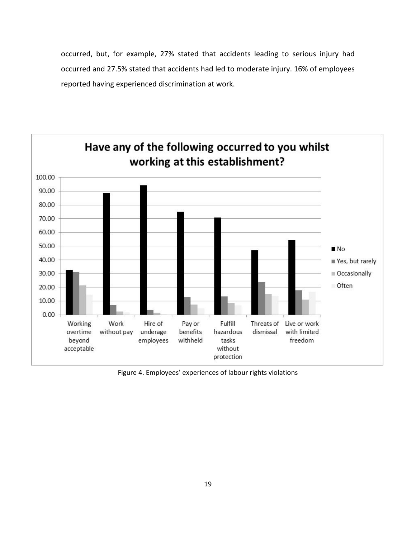occurred, but, for example, 27% stated that accidents leading to serious injury had occurred and 27.5% stated that accidents had led to moderate injury. 16% of employees reported having experienced discrimination at work.



Figure 4. Employees' experiences of labour rights violations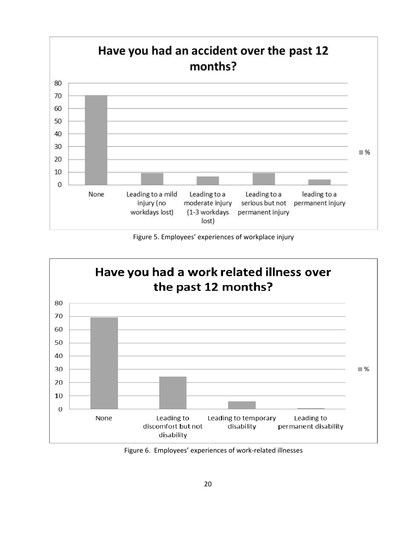

Figure 5. Employees' experiences of workplace injury



Figure 6. Employees' experiences of work-related illnesses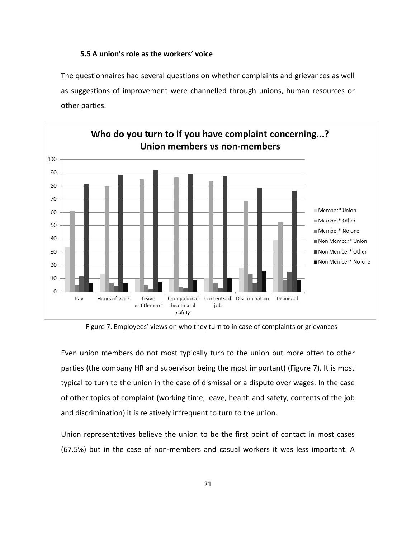#### **5.5 A union's role as the workers' voice**

The questionnaires had several questions on whether complaints and grievances as well as suggestions of improvement were channelled through unions, human resources or other parties.



Figure 7. Employees' views on who they turn to in case of complaints or grievances

Even union members do not most typically turn to the union but more often to other parties (the company HR and supervisor being the most important) (Figure 7). It is most typical to turn to the union in the case of dismissal or a dispute over wages. In the case of other topics of complaint (working time, leave, health and safety, contents of the job and discrimination) it is relatively infrequent to turn to the union.

Union representatives believe the union to be the first point of contact in most cases (67.5%) but in the case of non-members and casual workers it was less important. A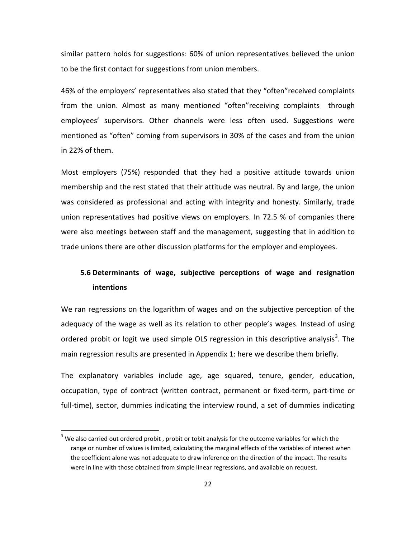similar pattern holds for suggestions: 60% of union representatives believed the union to be the first contact for suggestions from union members.

46% of the employers' representatives also stated that they "often"received complaints from the union. Almost as many mentioned "often"receiving complaints through employees' supervisors. Other channels were less often used. Suggestions were mentioned as "often" coming from supervisors in 30% of the cases and from the union in 22% of them.

Most employers (75%) responded that they had a positive attitude towards union membership and the rest stated that their attitude was neutral. By and large, the union was considered as professional and acting with integrity and honesty. Similarly, trade union representatives had positive views on employers. In 72.5 % of companies there were also meetings between staff and the management, suggesting that in addition to trade unions there are other discussion platforms for the employer and employees.

# **5.6 Determinants of wage, subjective perceptions of wage and resignation intentions**

We ran regressions on the logarithm of wages and on the subjective perception of the adequacy of the wage as well as its relation to other people's wages. Instead of using ordered probit or logit we used simple OLS regression in this descriptive analysis<sup>[3](#page-22-0)</sup>. The main regression results are presented in Appendix 1: here we describe them briefly.

The explanatory variables include age, age squared, tenure, gender, education, occupation, type of contract (written contract, permanent or fixed-term, part-time or full-time), sector, dummies indicating the interview round, a set of dummies indicating

<span id="page-22-0"></span> $3$  We also carried out ordered probit, probit or tobit analysis for the outcome variables for which the range or number of values is limited, calculating the marginal effects of the variables of interest when the coefficient alone was not adequate to draw inference on the direction of the impact. The results were in line with those obtained from simple linear regressions, and available on request.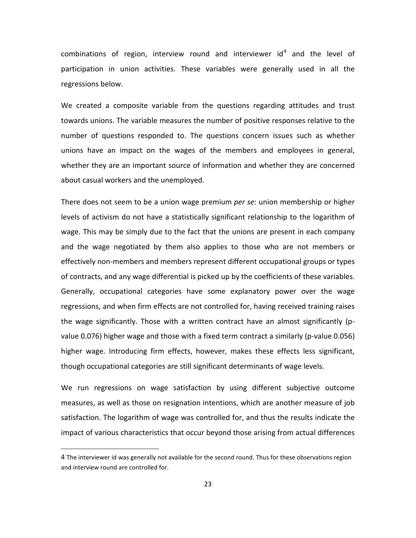combinations of region, interview round and interviewer  $id<sup>4</sup>$  $id<sup>4</sup>$  $id<sup>4</sup>$  and the level of participation in union activities. These variables were generally used in all the regressions below.

We created a composite variable from the questions regarding attitudes and trust towards unions. The variable measures the number of positive responses relative to the number of questions responded to. The questions concern issues such as whether unions have an impact on the wages of the members and employees in general, whether they are an important source of information and whether they are concerned about casual workers and the unemployed.

There does not seem to be a union wage premium *per se*: union membership or higher levels of activism do not have a statistically significant relationship to the logarithm of wage. This may be simply due to the fact that the unions are present in each company and the wage negotiated by them also applies to those who are not members or effectively non-members and members represent different occupational groups or types of contracts, and any wage differential is picked up by the coefficients of these variables. Generally, occupational categories have some explanatory power over the wage regressions, and when firm effects are not controlled for, having received training raises the wage significantly. Those with a written contract have an almost significantly (pvalue 0.076) higher wage and those with a fixed term contract a similarly (p-value 0.056) higher wage. Introducing firm effects, however, makes these effects less significant, though occupational categories are still significant determinants of wage levels.

We run regressions on wage satisfaction by using different subjective outcome measures, as well as those on resignation intentions, which are another measure of job satisfaction. The logarithm of wage was controlled for, and thus the results indicate the impact of various characteristics that occur beyond those arising from actual differences

 $\overline{a}$ 

<span id="page-23-0"></span><sup>4</sup> The interviewer id was generally not available for the second round. Thus for these observations region and interview round are controlled for.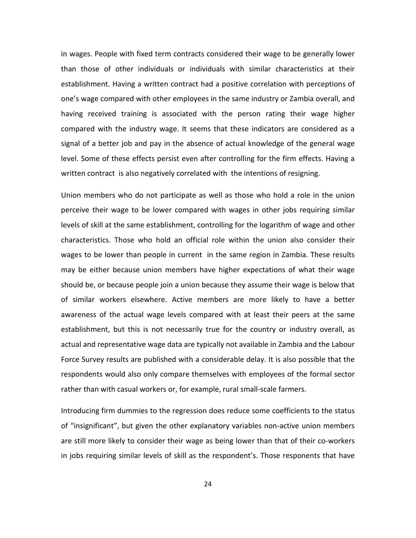in wages. People with fixed term contracts considered their wage to be generally lower than those of other individuals or individuals with similar characteristics at their establishment. Having a written contract had a positive correlation with perceptions of one's wage compared with other employees in the same industry or Zambia overall, and having received training is associated with the person rating their wage higher compared with the industry wage. It seems that these indicators are considered as a signal of a better job and pay in the absence of actual knowledge of the general wage level. Some of these effects persist even after controlling for the firm effects. Having a written contract is also negatively correlated with the intentions of resigning.

Union members who do not participate as well as those who hold a role in the union perceive their wage to be lower compared with wages in other jobs requiring similar levels of skill at the same establishment, controlling for the logarithm of wage and other characteristics. Those who hold an official role within the union also consider their wages to be lower than people in current in the same region in Zambia. These results may be either because union members have higher expectations of what their wage should be, or because people join a union because they assume their wage is below that of similar workers elsewhere. Active members are more likely to have a better awareness of the actual wage levels compared with at least their peers at the same establishment, but this is not necessarily true for the country or industry overall, as actual and representative wage data are typically not available in Zambia and the Labour Force Survey results are published with a considerable delay. It is also possible that the respondents would also only compare themselves with employees of the formal sector rather than with casual workers or, for example, rural small-scale farmers.

Introducing firm dummies to the regression does reduce some coefficients to the status of "insignificant", but given the other explanatory variables non-active union members are still more likely to consider their wage as being lower than that of their co-workers in jobs requiring similar levels of skill as the respondent's. Those responents that have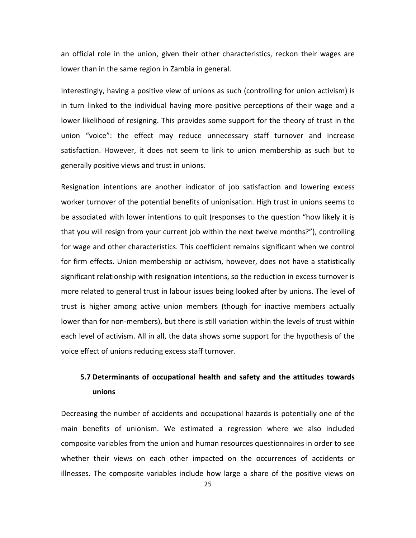an official role in the union, given their other characteristics, reckon their wages are lower than in the same region in Zambia in general.

Interestingly, having a positive view of unions as such (controlling for union activism) is in turn linked to the individual having more positive perceptions of their wage and a lower likelihood of resigning. This provides some support for the theory of trust in the union "voice": the effect may reduce unnecessary staff turnover and increase satisfaction. However, it does not seem to link to union membership as such but to generally positive views and trust in unions.

Resignation intentions are another indicator of job satisfaction and lowering excess worker turnover of the potential benefits of unionisation. High trust in unions seems to be associated with lower intentions to quit (responses to the question "how likely it is that you will resign from your current job within the next twelve months?"), controlling for wage and other characteristics. This coefficient remains significant when we control for firm effects. Union membership or activism, however, does not have a statistically significant relationship with resignation intentions, so the reduction in excess turnover is more related to general trust in labour issues being looked after by unions. The level of trust is higher among active union members (though for inactive members actually lower than for non-members), but there is still variation within the levels of trust within each level of activism. All in all, the data shows some support for the hypothesis of the voice effect of unions reducing excess staff turnover.

# **5.7 Determinants of occupational health and safety and the attitudes towards unions**

Decreasing the number of accidents and occupational hazards is potentially one of the main benefits of unionism. We estimated a regression where we also included composite variables from the union and human resources questionnaires in order to see whether their views on each other impacted on the occurrences of accidents or illnesses. The composite variables include how large a share of the positive views on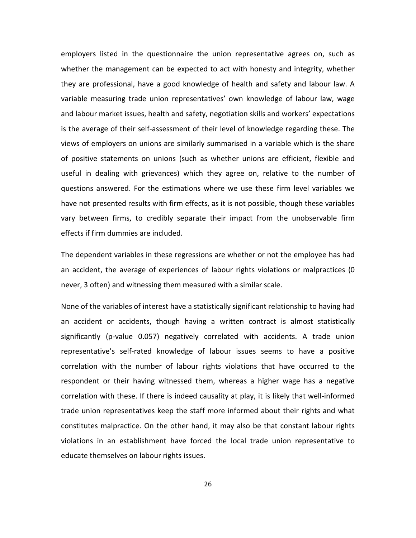employers listed in the questionnaire the union representative agrees on, such as whether the management can be expected to act with honesty and integrity, whether they are professional, have a good knowledge of health and safety and labour law. A variable measuring trade union representatives' own knowledge of labour law, wage and labour market issues, health and safety, negotiation skills and workers' expectations is the average of their self-assessment of their level of knowledge regarding these. The views of employers on unions are similarly summarised in a variable which is the share of positive statements on unions (such as whether unions are efficient, flexible and useful in dealing with grievances) which they agree on, relative to the number of questions answered. For the estimations where we use these firm level variables we have not presented results with firm effects, as it is not possible, though these variables vary between firms, to credibly separate their impact from the unobservable firm effects if firm dummies are included.

The dependent variables in these regressions are whether or not the employee has had an accident, the average of experiences of labour rights violations or malpractices (0 never, 3 often) and witnessing them measured with a similar scale.

None of the variables of interest have a statistically significant relationship to having had an accident or accidents, though having a written contract is almost statistically significantly (p-value 0.057) negatively correlated with accidents. A trade union representative's self-rated knowledge of labour issues seems to have a positive correlation with the number of labour rights violations that have occurred to the respondent or their having witnessed them, whereas a higher wage has a negative correlation with these. If there is indeed causality at play, it is likely that well-informed trade union representatives keep the staff more informed about their rights and what constitutes malpractice. On the other hand, it may also be that constant labour rights violations in an establishment have forced the local trade union representative to educate themselves on labour rights issues.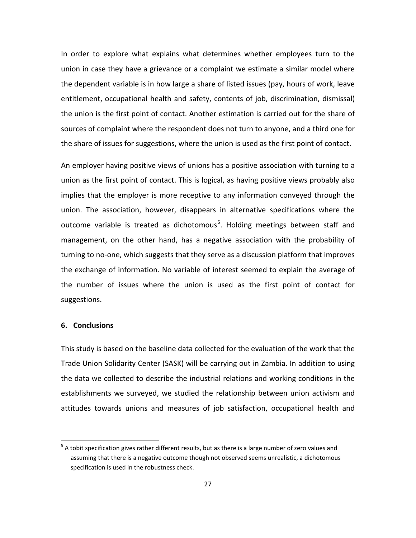In order to explore what explains what determines whether employees turn to the union in case they have a grievance or a complaint we estimate a similar model where the dependent variable is in how large a share of listed issues (pay, hours of work, leave entitlement, occupational health and safety, contents of job, discrimination, dismissal) the union is the first point of contact. Another estimation is carried out for the share of sources of complaint where the respondent does not turn to anyone, and a third one for the share of issues for suggestions, where the union is used as the first point of contact.

An employer having positive views of unions has a positive association with turning to a union as the first point of contact. This is logical, as having positive views probably also implies that the employer is more receptive to any information conveyed through the union. The association, however, disappears in alternative specifications where the outcome variable is treated as dichotomous<sup>[5](#page-27-0)</sup>. Holding meetings between staff and management, on the other hand, has a negative association with the probability of turning to no-one, which suggests that they serve as a discussion platform that improves the exchange of information. No variable of interest seemed to explain the average of the number of issues where the union is used as the first point of contact for suggestions.

#### **6. Conclusions**

This study is based on the baseline data collected for the evaluation of the work that the Trade Union Solidarity Center (SASK) will be carrying out in Zambia. In addition to using the data we collected to describe the industrial relations and working conditions in the establishments we surveyed, we studied the relationship between union activism and attitudes towards unions and measures of job satisfaction, occupational health and

<span id="page-27-0"></span> $5$  A tobit specification gives rather different results, but as there is a large number of zero values and assuming that there is a negative outcome though not observed seems unrealistic, a dichotomous specification is used in the robustness check.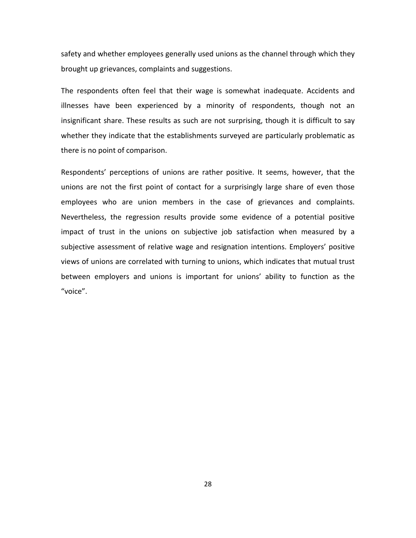safety and whether employees generally used unions as the channel through which they brought up grievances, complaints and suggestions.

The respondents often feel that their wage is somewhat inadequate. Accidents and illnesses have been experienced by a minority of respondents, though not an insignificant share. These results as such are not surprising, though it is difficult to say whether they indicate that the establishments surveyed are particularly problematic as there is no point of comparison.

Respondents' perceptions of unions are rather positive. It seems, however, that the unions are not the first point of contact for a surprisingly large share of even those employees who are union members in the case of grievances and complaints. Nevertheless, the regression results provide some evidence of a potential positive impact of trust in the unions on subjective job satisfaction when measured by a subjective assessment of relative wage and resignation intentions. Employers' positive views of unions are correlated with turning to unions, which indicates that mutual trust between employers and unions is important for unions' ability to function as the "voice".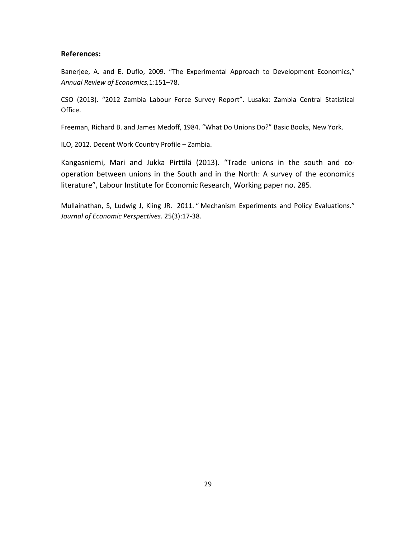#### **References:**

Banerjee, A. and E. Duflo, 2009. "The Experimental Approach to Development Economics," *Annual Review of Economics,*1:151–78.

CSO (2013). "2012 Zambia Labour Force Survey Report". Lusaka: Zambia Central Statistical Office.

Freeman, Richard B. and James Medoff, 1984. "What Do Unions Do?" Basic Books, New York.

ILO, 2012. Decent Work Country Profile – Zambia.

Kangasniemi, Mari and Jukka Pirttilä (2013). "Trade unions in the south and cooperation between unions in the South and in the North: A survey of the economics literature", Labour Institute for Economic Research, Working paper no. 285.

Mullainathan, S, Ludwig J, Kling JR. 2011. " Mechanism Experiments and Policy Evaluations." *Journal of Economic Perspectives*. 25(3):17-38.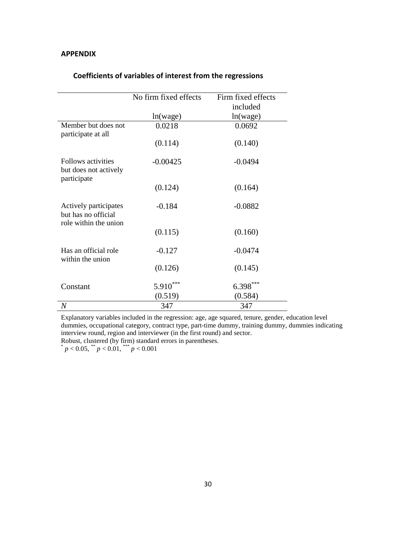#### **APPENDIX**

|                                                                       | No firm fixed effects | Firm fixed effects<br>included |
|-----------------------------------------------------------------------|-----------------------|--------------------------------|
|                                                                       | ln(wage)              | ln(wage)                       |
| Member but does not<br>participate at all                             | 0.0218                | 0.0692                         |
|                                                                       | (0.114)               | (0.140)                        |
| Follows activities<br>but does not actively<br>participate            | $-0.00425$            | $-0.0494$                      |
|                                                                       | (0.124)               | (0.164)                        |
| Actively participates<br>but has no official<br>role within the union | $-0.184$              | $-0.0882$                      |
|                                                                       | (0.115)               | (0.160)                        |
| Has an official role<br>within the union                              | $-0.127$              | $-0.0474$                      |
|                                                                       | (0.126)               | (0.145)                        |
| Constant                                                              | 5.910                 | $6.398***$                     |
|                                                                       | (0.519)               | (0.584)                        |
| $\overline{N}$                                                        | 347                   | 347                            |

### **Coefficients of variables of interest from the regressions**

Explanatory variables included in the regression: age, age squared, tenure, gender, education level dummies, occupational category, contract type, part-time dummy, training dummy, dummies indicating interview round, region and interviewer (in the first round) and sector.

Robust, clustered (by firm) standard errors in parentheses.

 $p < 0.05$ ,  $\binom{m}{p} < 0.01$ ,  $\binom{m}{p} < 0.001$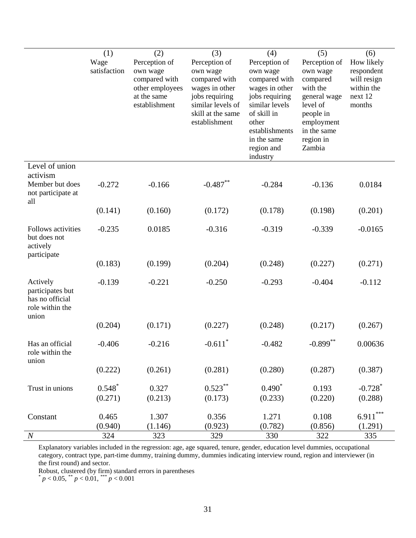|                                                                             | (1)<br>Wage<br>satisfaction | (2)<br>Perception of<br>own wage<br>compared with<br>other employees<br>at the same<br>establishment | (3)<br>Perception of<br>own wage<br>compared with<br>wages in other<br>jobs requiring<br>similar levels of<br>skill at the same<br>establishment | (4)<br>Perception of<br>own wage<br>compared with<br>wages in other<br>jobs requiring<br>similar levels<br>of skill in<br>other<br>establishments<br>in the same<br>region and<br>industry | (5)<br>Perception of<br>own wage<br>compared<br>with the<br>general wage<br>level of<br>people in<br>employment<br>in the same<br>region in<br>Zambia | (6)<br>How likely<br>respondent<br>will resign<br>within the<br>next 12<br>months |
|-----------------------------------------------------------------------------|-----------------------------|------------------------------------------------------------------------------------------------------|--------------------------------------------------------------------------------------------------------------------------------------------------|--------------------------------------------------------------------------------------------------------------------------------------------------------------------------------------------|-------------------------------------------------------------------------------------------------------------------------------------------------------|-----------------------------------------------------------------------------------|
| Level of union<br>activism<br>Member but does<br>not participate at<br>all  | $-0.272$                    | $-0.166$                                                                                             | $-0.487**$                                                                                                                                       | $-0.284$                                                                                                                                                                                   | $-0.136$                                                                                                                                              | 0.0184                                                                            |
|                                                                             | (0.141)                     | (0.160)                                                                                              | (0.172)                                                                                                                                          | (0.178)                                                                                                                                                                                    | (0.198)                                                                                                                                               | (0.201)                                                                           |
| <b>Follows activities</b><br>but does not<br>actively<br>participate        | $-0.235$                    | 0.0185                                                                                               | $-0.316$                                                                                                                                         | $-0.319$                                                                                                                                                                                   | $-0.339$                                                                                                                                              | $-0.0165$                                                                         |
|                                                                             | (0.183)                     | (0.199)                                                                                              | (0.204)                                                                                                                                          | (0.248)                                                                                                                                                                                    | (0.227)                                                                                                                                               | (0.271)                                                                           |
| Actively<br>participates but<br>has no official<br>role within the<br>union | $-0.139$                    | $-0.221$                                                                                             | $-0.250$                                                                                                                                         | $-0.293$                                                                                                                                                                                   | $-0.404$                                                                                                                                              | $-0.112$                                                                          |
|                                                                             | (0.204)                     | (0.171)                                                                                              | (0.227)                                                                                                                                          | (0.248)                                                                                                                                                                                    | (0.217)                                                                                                                                               | (0.267)                                                                           |
| Has an official<br>role within the<br>union                                 | $-0.406$                    | $-0.216$                                                                                             | $-0.611$ <sup>*</sup>                                                                                                                            | $-0.482$                                                                                                                                                                                   | $-0.899$ **                                                                                                                                           | 0.00636                                                                           |
|                                                                             | (0.222)                     | (0.261)                                                                                              | (0.281)                                                                                                                                          | (0.280)                                                                                                                                                                                    | (0.287)                                                                                                                                               | (0.387)                                                                           |
| Trust in unions                                                             | $0.548*$<br>(0.271)         | 0.327<br>(0.213)                                                                                     | $0.523***$<br>(0.173)                                                                                                                            | $0.490^*$<br>(0.233)                                                                                                                                                                       | 0.193<br>(0.220)                                                                                                                                      | $-0.728$ <sup>*</sup><br>(0.288)                                                  |
| Constant                                                                    | 0.465<br>(0.940)            | 1.307<br>(1.146)                                                                                     | 0.356<br>(0.923)                                                                                                                                 | 1.271<br>(0.782)                                                                                                                                                                           | 0.108<br>(0.856)                                                                                                                                      | $6.911***$<br>(1.291)                                                             |
| $\boldsymbol{N}$                                                            | 324                         | 323                                                                                                  | 329                                                                                                                                              | 330                                                                                                                                                                                        | 322                                                                                                                                                   | 335                                                                               |

Explanatory variables included in the regression: age, age squared, tenure, gender, education level dummies, occupational category, contract type, part-time dummy, training dummy, dummies indicating interview round, region and interviewer (in the first round) and sector.

Robust, clustered (by firm) standard errors in parentheses

 $p < 0.05$ ,  $p < 0.01$ ,  $p > 0.001$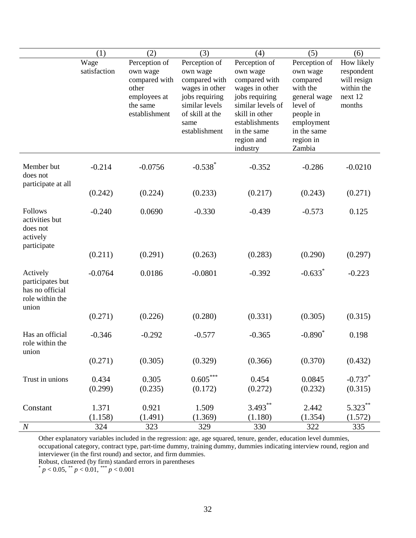|                                                                             | (1)                  | (2)                                                                                              | (3)                                                                                                                                          | (4)                                                                                                                                                                              | (5)                                                                                                                                            | (6)                                                                        |
|-----------------------------------------------------------------------------|----------------------|--------------------------------------------------------------------------------------------------|----------------------------------------------------------------------------------------------------------------------------------------------|----------------------------------------------------------------------------------------------------------------------------------------------------------------------------------|------------------------------------------------------------------------------------------------------------------------------------------------|----------------------------------------------------------------------------|
|                                                                             | Wage<br>satisfaction | Perception of<br>own wage<br>compared with<br>other<br>employees at<br>the same<br>establishment | Perception of<br>own wage<br>compared with<br>wages in other<br>jobs requiring<br>similar levels<br>of skill at the<br>same<br>establishment | Perception of<br>own wage<br>compared with<br>wages in other<br>jobs requiring<br>similar levels of<br>skill in other<br>establishments<br>in the same<br>region and<br>industry | Perception of<br>own wage<br>compared<br>with the<br>general wage<br>level of<br>people in<br>employment<br>in the same<br>region in<br>Zambia | How likely<br>respondent<br>will resign<br>within the<br>next 12<br>months |
| Member but<br>does not                                                      | $-0.214$             | $-0.0756$                                                                                        | $-0.538*$                                                                                                                                    | $-0.352$                                                                                                                                                                         | $-0.286$                                                                                                                                       | $-0.0210$                                                                  |
| participate at all                                                          | (0.242)              | (0.224)                                                                                          | (0.233)                                                                                                                                      | (0.217)                                                                                                                                                                          | (0.243)                                                                                                                                        | (0.271)                                                                    |
| Follows<br>activities but<br>does not<br>actively<br>participate            | $-0.240$             | 0.0690                                                                                           | $-0.330$                                                                                                                                     | $-0.439$                                                                                                                                                                         | $-0.573$                                                                                                                                       | 0.125                                                                      |
|                                                                             | (0.211)              | (0.291)                                                                                          | (0.263)                                                                                                                                      | (0.283)                                                                                                                                                                          | (0.290)                                                                                                                                        | (0.297)                                                                    |
| Actively<br>participates but<br>has no official<br>role within the<br>union | $-0.0764$            | 0.0186                                                                                           | $-0.0801$                                                                                                                                    | $-0.392$                                                                                                                                                                         | $-0.633*$                                                                                                                                      | $-0.223$                                                                   |
|                                                                             | (0.271)              | (0.226)                                                                                          | (0.280)                                                                                                                                      | (0.331)                                                                                                                                                                          | (0.305)                                                                                                                                        | (0.315)                                                                    |
| Has an official<br>role within the<br>union                                 | $-0.346$             | $-0.292$                                                                                         | $-0.577$                                                                                                                                     | $-0.365$                                                                                                                                                                         | $-0.890^*$                                                                                                                                     | 0.198                                                                      |
|                                                                             | (0.271)              | (0.305)                                                                                          | (0.329)                                                                                                                                      | (0.366)                                                                                                                                                                          | (0.370)                                                                                                                                        | (0.432)                                                                    |
| Trust in unions                                                             | 0.434<br>(0.299)     | 0.305<br>(0.235)                                                                                 | $0.605***$<br>(0.172)                                                                                                                        | 0.454<br>(0.272)                                                                                                                                                                 | 0.0845<br>(0.232)                                                                                                                              | $-0.737$ *<br>(0.315)                                                      |
| Constant                                                                    | 1.371<br>(1.158)     | 0.921                                                                                            | 1.509                                                                                                                                        | $3.493***$                                                                                                                                                                       | 2.442                                                                                                                                          | $5.323***$                                                                 |
| $\boldsymbol{N}$                                                            | 324                  | (1.491)<br>323                                                                                   | (1.369)<br>329                                                                                                                               | (1.180)<br>330                                                                                                                                                                   | (1.354)<br>322                                                                                                                                 | (1.572)<br>335                                                             |

Other explanatory variables included in the regression: age, age squared, tenure, gender, education level dummies, occupational category, contract type, part-time dummy, training dummy, dummies indicating interview round, region and interviewer (in the first round) and sector, and firm dummies.

Robust, clustered (by firm) standard errors in parentheses

 $p < 0.05$ ,  $\binom{p}{p} < 0.01$ ,  $\binom{p}{p} < 0.001$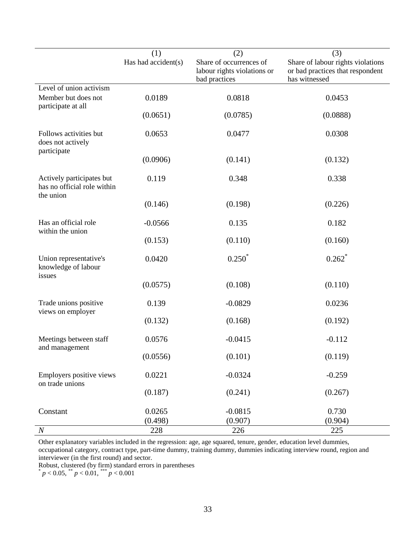|                                                                       | (1)                 | (2)                                                                     | (3)                                                                                    |
|-----------------------------------------------------------------------|---------------------|-------------------------------------------------------------------------|----------------------------------------------------------------------------------------|
|                                                                       | Has had accident(s) | Share of occurrences of<br>labour rights violations or<br>bad practices | Share of labour rights violations<br>or bad practices that respondent<br>has witnessed |
| Level of union activism                                               |                     |                                                                         |                                                                                        |
| Member but does not<br>participate at all                             | 0.0189              | 0.0818                                                                  | 0.0453                                                                                 |
|                                                                       | (0.0651)            | (0.0785)                                                                | (0.0888)                                                                               |
| Follows activities but<br>does not actively<br>participate            | 0.0653              | 0.0477                                                                  | 0.0308                                                                                 |
|                                                                       | (0.0906)            | (0.141)                                                                 | (0.132)                                                                                |
| Actively participates but<br>has no official role within<br>the union | 0.119               | 0.348                                                                   | 0.338                                                                                  |
|                                                                       | (0.146)             | (0.198)                                                                 | (0.226)                                                                                |
| Has an official role<br>within the union                              | $-0.0566$           | 0.135                                                                   | 0.182                                                                                  |
|                                                                       | (0.153)             | (0.110)                                                                 | (0.160)                                                                                |
| Union representative's<br>knowledge of labour<br>issues               | 0.0420              | $0.250*$                                                                | $0.262$ <sup>*</sup>                                                                   |
|                                                                       | (0.0575)            | (0.108)                                                                 | (0.110)                                                                                |
| Trade unions positive<br>views on employer                            | 0.139               | $-0.0829$                                                               | 0.0236                                                                                 |
|                                                                       | (0.132)             | (0.168)                                                                 | (0.192)                                                                                |
| Meetings between staff<br>and management                              | 0.0576              | $-0.0415$                                                               | $-0.112$                                                                               |
|                                                                       | (0.0556)            | (0.101)                                                                 | (0.119)                                                                                |
| Employers positive views<br>on trade unions                           | 0.0221              | $-0.0324$                                                               | $-0.259$                                                                               |
|                                                                       | (0.187)             | (0.241)                                                                 | (0.267)                                                                                |
| Constant                                                              | 0.0265              | $-0.0815$                                                               | 0.730                                                                                  |
|                                                                       | (0.498)             | (0.907)                                                                 | (0.904)                                                                                |
| $\boldsymbol{N}$                                                      | 228                 | 226                                                                     | 225                                                                                    |

Other explanatory variables included in the regression: age, age squared, tenure, gender, education level dummies, occupational category, contract type, part-time dummy, training dummy, dummies indicating interview round, region and interviewer (in the first round) and sector.

Robust, clustered (by firm) standard errors in parentheses

 $p < 0.05$ ,  $\binom{4}{3}$  *p* < 0.01,  $\binom{4}{3}$  *p* < 0.001